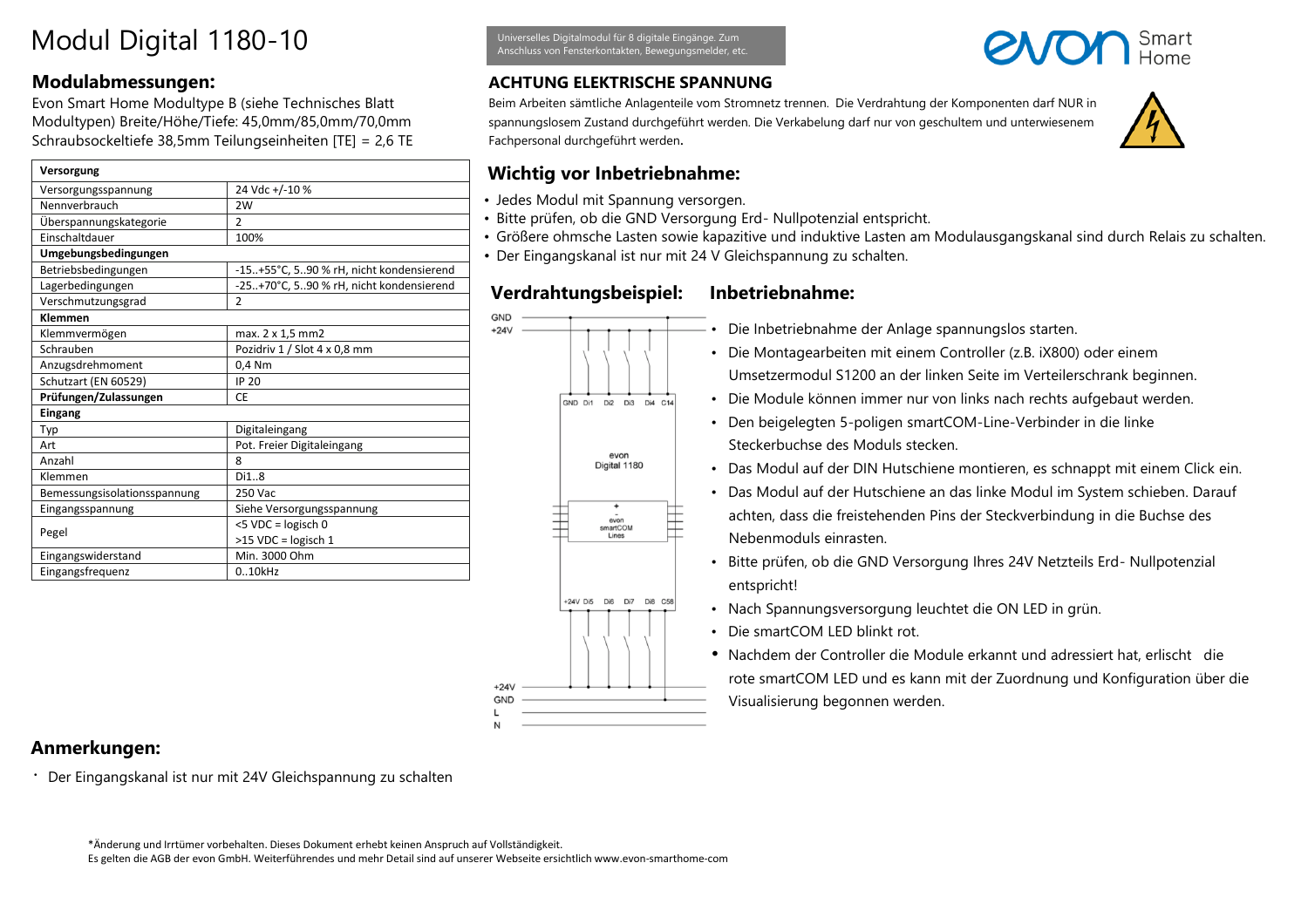# Modul Digital 1180-10

### **Modulabmessungen:**

Evon Smart Home Modultype B (siehe Technisches Blatt Modultypen) Breite/Höhe/Tiefe: 45,0mm/85,0mm/70,0mm Schraubsockeltiefe 38,5mm Teilungseinheiten [TE] = 2,6 TE

| Versorgung                   |                                         |
|------------------------------|-----------------------------------------|
| Versorgungsspannung          | 24 Vdc +/-10 %                          |
| Nennverbrauch                | 2W                                      |
| Überspannungskategorie       | $\overline{2}$                          |
| Einschaltdauer               | 100%                                    |
| Umgebungsbedingungen         |                                         |
| Betriebsbedingungen          | -15+55°C, 590 % rH, nicht kondensierend |
| Lagerbedingungen             | -25+70°C, 590 % rH, nicht kondensierend |
| Verschmutzungsgrad           | 2                                       |
| Klemmen                      |                                         |
| Klemmvermögen                | max. 2 x 1,5 mm2                        |
| Schrauben                    | Pozidriv 1 / Slot 4 x 0,8 mm            |
| Anzugsdrehmoment             | 0.4 Nm                                  |
| Schutzart (EN 60529)         | <b>IP 20</b>                            |
| Prüfungen/Zulassungen        | CE                                      |
| Eingang                      |                                         |
| Typ                          | Digitaleingang                          |
| Art                          | Pot. Freier Digitaleingang              |
| Anzahl                       | 8                                       |
| Klemmen                      | Di18                                    |
| Bemessungsisolationsspannung | 250 Vac                                 |
| Eingangsspannung             | Siehe Versorgungsspannung               |
| Pegel                        | <5 VDC = logisch 0                      |
|                              | >15 VDC = logisch 1                     |
| Eingangswiderstand           | Min. 3000 Ohm                           |
| Eingangsfrequenz             | 0.10kHz                                 |

Universelles Digitalmodul für 8 digitale Eingänge. Zum Anschluss von Fensterkontakten, Bewegungsmelder, etc.

## **ACHTUNG ELEKTRISCHE SPANNUNG**

Beim Arbeiten sämtliche Anlagenteile vom Stromnetz trennen. Die Verdrahtung der Komponenten darf NUR in spannungslosem Zustand durchgeführt werden. Die Verkabelung darf nur von geschultem und unterwiesenem Fachpersonal durchgeführt werden.

# **Wichtig vor Inbetriebnahme:**

- Jedes Modul mit Spannung versorgen.
- Bitte prüfen, ob die GND Versorgung Erd- Nullpotenzial entspricht.
- Größere ohmsche Lasten sowie kapazitive und induktive Lasten am Modulausgangskanal sind durch Relais zu schalten. • Der Eingangskanal ist nur mit 24 V Gleichspannung zu schalten.

### **Verdrahtungsbeispiel: Inbetriebnahme:**



- Die Inbetriebnahme der Anlage spannungslos starten.
- Die Montagearbeiten mit einem Controller (z.B. iX800) oder einem Umsetzermodul S1200 an der linken Seite im Verteilerschrank beginnen.
- Die Module können immer nur von links nach rechts aufgebaut werden.
- Den beigelegten 5-poligen smartCOM-Line-Verbinder in die linke Steckerbuchse des Moduls stecken.
- Das Modul auf der DIN Hutschiene montieren, es schnappt mit einem Click ein.
- Das Modul auf der Hutschiene an das linke Modul im System schieben. Darauf achten, dass die freistehenden Pins der Steckverbindung in die Buchse des Nebenmoduls einrasten.
- Bitte prüfen, ob die GND Versorgung Ihres 24V Netzteils Erd- Nullpotenzial entspricht!
- Nach Spannungsversorgung leuchtet die ON LED in grün.
- Die smartCOM LED blinkt rot.
- Nachdem der Controller die Module erkannt und adressiert hat, erlischt die rote smartCOM LED und es kann mit der Zuordnung und Konfiguration über die Visualisierung begonnen werden.

# **Anmerkungen:**

• Der Eingangskanal ist nur mit 24V Gleichspannung zu schalten